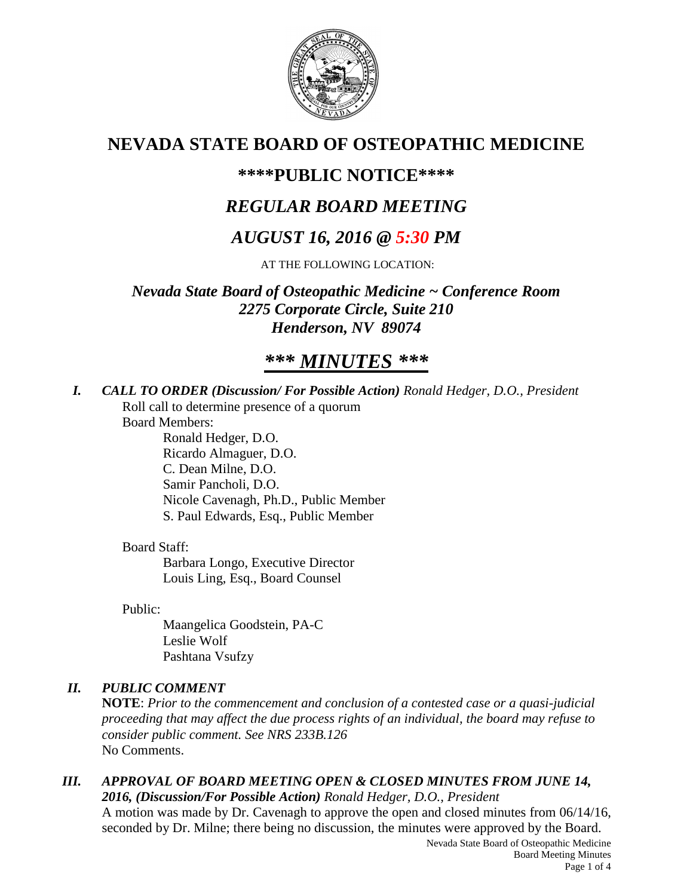

# **NEVADA STATE BOARD OF OSTEOPATHIC MEDICINE**

# **\*\*\*\*PUBLIC NOTICE\*\*\*\***

# *REGULAR BOARD MEETING*

# *AUGUST 16, 2016 @ 5:30 PM*

AT THE FOLLOWING LOCATION:

*Nevada State Board of Osteopathic Medicine ~ Conference Room 2275 Corporate Circle, Suite 210 Henderson, NV 89074*

# *\*\*\* MINUTES \*\*\**

*I. CALL TO ORDER (Discussion/ For Possible Action) Ronald Hedger, D.O., President* Roll call to determine presence of a quorum

Board Members:

Ronald Hedger, D.O. Ricardo Almaguer, D.O. C. Dean Milne, D.O. Samir Pancholi, D.O. Nicole Cavenagh, Ph.D., Public Member S. Paul Edwards, Esq., Public Member

# Board Staff:

Barbara Longo, Executive Director Louis Ling, Esq., Board Counsel

Public:

Maangelica Goodstein, PA-C Leslie Wolf Pashtana Vsufzy

# *II. PUBLIC COMMENT*

**NOTE**: *Prior to the commencement and conclusion of a contested case or a quasi-judicial proceeding that may affect the due process rights of an individual, the board may refuse to consider public comment. See NRS 233B.126* No Comments.

## *III. APPROVAL OF BOARD MEETING OPEN & CLOSED MINUTES FROM JUNE 14, 2016, (Discussion/For Possible Action) Ronald Hedger, D.O., President*

A motion was made by Dr. Cavenagh to approve the open and closed minutes from 06/14/16, seconded by Dr. Milne; there being no discussion, the minutes were approved by the Board.

Nevada State Board of Osteopathic Medicine Board Meeting Minutes Page 1 of 4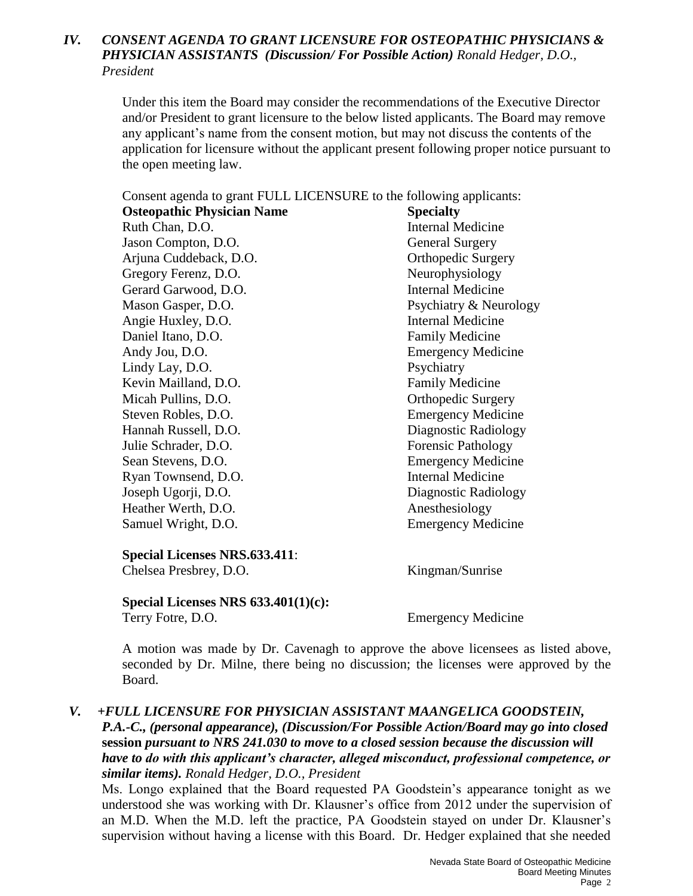## *IV. CONSENT AGENDA TO GRANT LICENSURE FOR OSTEOPATHIC PHYSICIANS & PHYSICIAN ASSISTANTS (Discussion/ For Possible Action) Ronald Hedger, D.O., President*

Under this item the Board may consider the recommendations of the Executive Director and/or President to grant licensure to the below listed applicants. The Board may remove any applicant's name from the consent motion, but may not discuss the contents of the application for licensure without the applicant present following proper notice pursuant to the open meeting law.

Consent agenda to grant FULL LICENSURE to the following applicants:

| <b>Osteopathic Physician Name</b> | <b>Specialty</b>          |
|-----------------------------------|---------------------------|
| Ruth Chan, D.O.                   | <b>Internal Medicine</b>  |
| Jason Compton, D.O.               | <b>General Surgery</b>    |
| Arjuna Cuddeback, D.O.            | <b>Orthopedic Surgery</b> |
| Gregory Ferenz, D.O.              | Neurophysiology           |
| Gerard Garwood, D.O.              | <b>Internal Medicine</b>  |
| Mason Gasper, D.O.                | Psychiatry & Neurology    |
| Angie Huxley, D.O.                | <b>Internal Medicine</b>  |
| Daniel Itano, D.O.                | <b>Family Medicine</b>    |
| Andy Jou, D.O.                    | <b>Emergency Medicine</b> |
| Lindy Lay, D.O.                   | Psychiatry                |
| Kevin Mailland, D.O.              | <b>Family Medicine</b>    |
| Micah Pullins, D.O.               | <b>Orthopedic Surgery</b> |
| Steven Robles, D.O.               | <b>Emergency Medicine</b> |
| Hannah Russell, D.O.              | Diagnostic Radiology      |
| Julie Schrader, D.O.              | <b>Forensic Pathology</b> |
| Sean Stevens, D.O.                | <b>Emergency Medicine</b> |
| Ryan Townsend, D.O.               | <b>Internal Medicine</b>  |
| Joseph Ugorji, D.O.               | Diagnostic Radiology      |
| Heather Werth, D.O.               | Anesthesiology            |
| Samuel Wright, D.O.               | <b>Emergency Medicine</b> |

#### **Special Licenses NRS.633.411**:

Chelsea Presbrey, D.O. Kingman/Sunrise

**Special Licenses NRS 633.401(1)(c):** Terry Fotre, D.O. Emergency Medicine

A motion was made by Dr. Cavenagh to approve the above licensees as listed above, seconded by Dr. Milne, there being no discussion; the licenses were approved by the Board.

## *V. +FULL LICENSURE FOR PHYSICIAN ASSISTANT MAANGELICA GOODSTEIN,*

*P.A.-C., (personal appearance), (Discussion/For Possible Action/Board may go into closed*  **session** *pursuant to NRS 241.030 to move to a closed session because the discussion will have to do with this applicant's character, alleged misconduct, professional competence, or similar items). Ronald Hedger, D.O., President*

Ms. Longo explained that the Board requested PA Goodstein's appearance tonight as we understood she was working with Dr. Klausner's office from 2012 under the supervision of an M.D. When the M.D. left the practice, PA Goodstein stayed on under Dr. Klausner's supervision without having a license with this Board. Dr. Hedger explained that she needed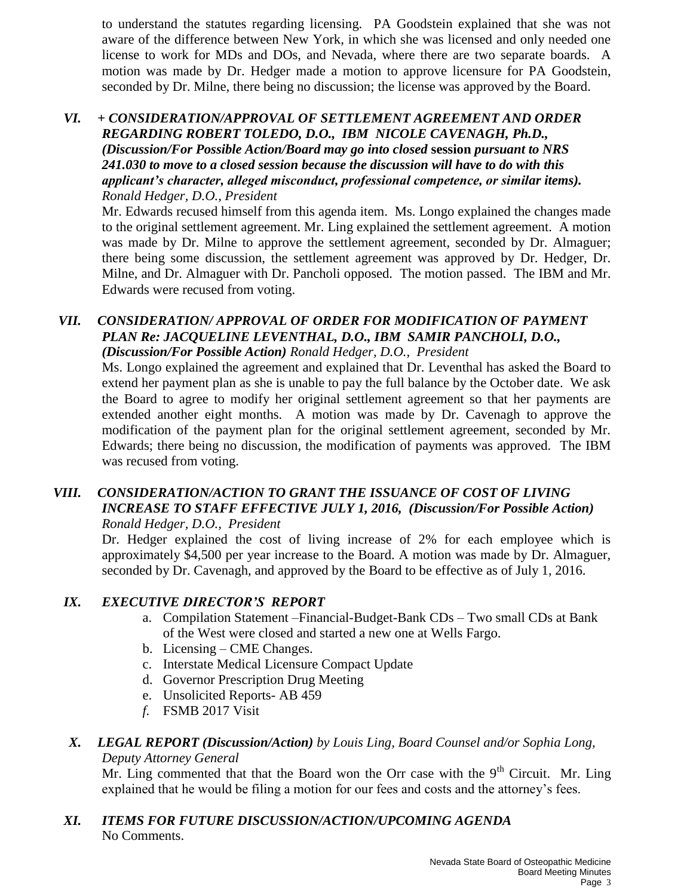to understand the statutes regarding licensing. PA Goodstein explained that she was not aware of the difference between New York, in which she was licensed and only needed one license to work for MDs and DOs, and Nevada, where there are two separate boards. A motion was made by Dr. Hedger made a motion to approve licensure for PA Goodstein, seconded by Dr. Milne, there being no discussion; the license was approved by the Board.

### *VI. + CONSIDERATION/APPROVAL OF SETTLEMENT AGREEMENT AND ORDER REGARDING ROBERT TOLEDO, D.O., IBM NICOLE CAVENAGH, Ph.D., (Discussion/For Possible Action/Board may go into closed* **session** *pursuant to NRS 241.030 to move to a closed session because the discussion will have to do with this applicant's character, alleged misconduct, professional competence, or similar items). Ronald Hedger, D.O., President*

Mr. Edwards recused himself from this agenda item. Ms. Longo explained the changes made to the original settlement agreement. Mr. Ling explained the settlement agreement. A motion was made by Dr. Milne to approve the settlement agreement, seconded by Dr. Almaguer; there being some discussion, the settlement agreement was approved by Dr. Hedger, Dr. Milne, and Dr. Almaguer with Dr. Pancholi opposed. The motion passed. The IBM and Mr. Edwards were recused from voting.

### *VII. CONSIDERATION/ APPROVAL OF ORDER FOR MODIFICATION OF PAYMENT PLAN Re: JACQUELINE LEVENTHAL, D.O., IBM SAMIR PANCHOLI, D.O., (Discussion/For Possible Action) Ronald Hedger, D.O., President*

Ms. Longo explained the agreement and explained that Dr. Leventhal has asked the Board to extend her payment plan as she is unable to pay the full balance by the October date. We ask the Board to agree to modify her original settlement agreement so that her payments are extended another eight months. A motion was made by Dr. Cavenagh to approve the modification of the payment plan for the original settlement agreement, seconded by Mr. Edwards; there being no discussion, the modification of payments was approved. The IBM was recused from voting.

### *VIII. CONSIDERATION/ACTION TO GRANT THE ISSUANCE OF COST OF LIVING INCREASE TO STAFF EFFECTIVE JULY 1, 2016, (Discussion/For Possible Action) Ronald Hedger, D.O., President*

Dr. Hedger explained the cost of living increase of 2% for each employee which is approximately \$4,500 per year increase to the Board. A motion was made by Dr. Almaguer, seconded by Dr. Cavenagh, and approved by the Board to be effective as of July 1, 2016.

# *IX. EXECUTIVE DIRECTOR'S REPORT*

- a. Compilation Statement –Financial-Budget-Bank CDs Two small CDs at Bank of the West were closed and started a new one at Wells Fargo.
- b. Licensing CME Changes.
- c. Interstate Medical Licensure Compact Update
- d. Governor Prescription Drug Meeting
- e. Unsolicited Reports- AB 459
- *f.* FSMB 2017 Visit

### *X. LEGAL REPORT (Discussion/Action) by Louis Ling, Board Counsel and/or Sophia Long, Deputy Attorney General*

Mr. Ling commented that that the Board won the Orr case with the  $9<sup>th</sup>$  Circuit. Mr. Ling explained that he would be filing a motion for our fees and costs and the attorney's fees.

## *XI. ITEMS FOR FUTURE DISCUSSION/ACTION/UPCOMING AGENDA* No Comments.